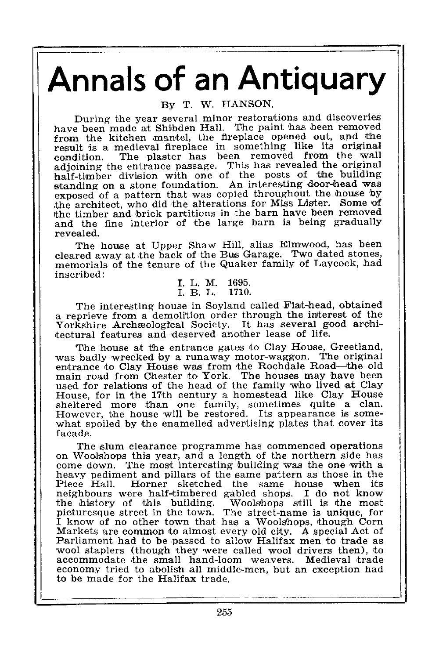# Annals of an Antiquary

By T. W. HANSON.

During the year several minor restorations and discoveries have been made at Shibden Hall. The paint has been removed from the kitchen mantel, the fireplace opened out, and the result is a medieval fireplace in something like its original The plaster has been removed from the wall adjoining the entrance passage. This has revealed the original half-timber division with one of the posts of the building standing on a stone foundation. An interesting door-head was exposed of a pattern that was copied throughout the house by the architect, who did the alterations for Miss Lister. Some of the timber and brick partitions in the barn have been removed and the fine interior of the large barn is being gradually revealed.

The house at Upper Shaw Hill, alias Elmwood, has been cleared away at the back of the Bus Garage. Two dated stones, memorials of the tenure of the Quaker family of Laycock, had inscribed :

I. L. M. 1695.<br>I. B. L. 1710.

The interesting house in Soyland called Flathead, obtained a reprieve from a demolition order through the interest of the<br>Yorkshire Archæological Society. It has several good archi-

The house at the entrance gates to Clay House, Greetland, was badly wrecked by a runaway motor-waggon. The original entrance 'to Clay House was from the Rochdale Road-the old main road from Chester to York . The houses may have been used for relations of the head of the family who lived at Clay<br>House, for in the 17th century a homestead like Clay House House, for in the 17th century a nomestead like Clay House<br>sheltered more than one family, sometimes quite a clan.<br>However, the house will be restored. Its appearance is somewhat spoiled by the enamelled advertising plates that cover its facade .

The slum clearance programme has commenced operations on Woolshops this year, and a length of the northern side has come down. The most interesting building was the one with a heavy pediment and pillars of the same pattern as those in the Piece Hall. Horner sketched 'the same house when its neighbours were half-timbered gabled shops . I do not know the history of this building . Woolshops still is the most picturesque street in the town . The street-name is unique, for I know of no other town that has a Woolshops, though Corn Markets are common to almost every old city . A special Act of Parliament had to be passed to allow Halifax men to trade as wool staplers (though they were called wool drivers then), to accommodate the small hand-loom weavers . Medieval trade economy tried to abolish all middle-men, but an exception had to be made for the Halifax trade.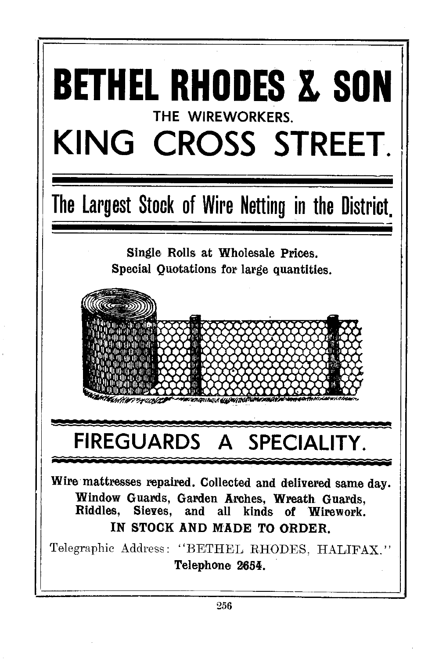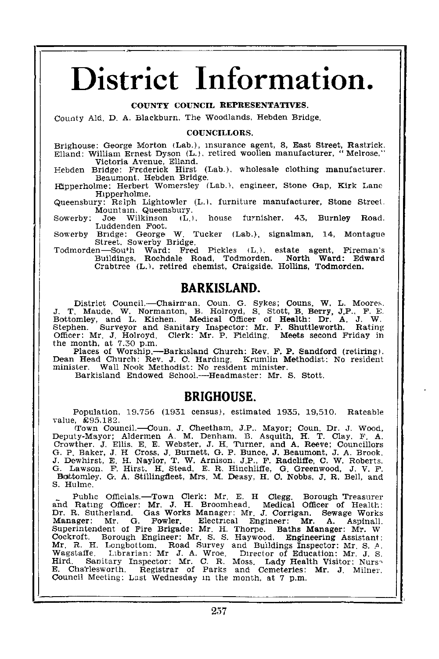## District Information.

#### COUNTY COUNCIL REPRESENTATIVES.

County Ald, D. A. Blackburn, The Woodlands, Hebden Bridge.

#### COUNCILLORS .

Brighouse: George Morton (Lab.), insurance agent, 8, East Street, Rastrick.<br>Elland: William Ernest Dyson (L.), retired woollen manufacturer, "Melrose," Victoria Avenue, Elland.

Hebden Bridge: Frederick Hirst (Lab.), wholesale clothing manufacturer, Beaumont, Hebden Bridge.

Hipperholme: Herbert Womersley (Lab.), engineer, Stone Gap, Kirk Lane Hipperholme.

Queensbury : Ralph Lightowler (L .), furniture manufacturer, Stone Street, Mountain, Queensbury .

Sowerby: Joe Wilkinson (L.), house furnisher, 43, Burnley Road. Luddenden Foot.<br>Sowerby Bridge: George W.

Tucker (Lab.), signalman, 14, Montague Street, Sowerby Bridge.

Todmorden-South Ward: Fred Pickles (L.), estate agent, Fireman's<br>Buildings. Rochdale Road, Todmorden. North Ward: Edward Buildings. Rochdale Road, Todmorden. North Ward: Edward<br>Crabtree (L.), retired chemist, Craigside, Hollins, Todmorden.

### BARKISLAND.

District Council.-Chairman. Coun. G. Sykes; Couns, W. L. Moores.<br>J. T. Maude, W. Normanton, B. Holroyd, S. Stott, B. Berry, J.P., F. E.<br>Bottomley, and L. Kichen. Medical Officer of Health : Dr. A. J. W. Stephen. Surveyor and Sanitary Inspector: Mr. F. Shuttleworth. Rating Officer: Mr. J. Holroyd. Clerk: Mr. P. Fielding. Meets second Friday in Officer: Mr. J. Holroyd. Clerk: Mr. P. Fielding. Meets second Friday in<br>the month, at 7.30 p.m.<br>paces of Worship.—Barkisland Church: Rev. F. P. Sandford (retiring).

Dean Head Church: Rev. J. C. Harding. Krumlin Methodist: No resident minister. Wall Nook Methodist: No resident minister.

minister. Wall Nook Methodist: No resident minister.<br>Barkisland Endowed School.----Headmaster: Mr. S. Stott.

## BRIGHOUSE.

Population, 19.756 (1931 census), estimated 1935, 19,510. Rateable value, £95.182.

value (EUS). Box, County, T. Mayor; County, Dr. J. Wood, Deputy-Mayor; Aldermen A. M. Denham, B. Asquith, H. T. Clay, F. A. Crowther. J. Ellis. E. E. Webster, J. H. Turner, and A. Reeve; Councillors G. P. Baker, J. H. Cros S. Hulme.

Public Officials...-Town Clerk: Mr. E. H Clegg. Borough Treasurer<br>and Rating Officer: Mr. J. H. Broomhead. Medical Officer of Health:<br>Dr. R. Sutherland. Gas Works Manager: Mr. J. Corrigan. Sewage Works Manager: Mr. G. Fowler. Electrical Engineer: Mr. A. Aspinall.<br>Superintendent of Fire Brigade: Mr. H. Thorpe. Baths Manager: Mr. W<br>Cockroft... Borough Engineer: Mr. S. S. Haywood.. Engineering Assistant: Mr. R. H. Longbottom. Road Survey and Buildings Inspector: Mr. S. A.<br>Wagstaffe, Librarian: Mr. J. A. Wroe. Director of Education: Mr. J. S.<br>Hird. Sanitary Inspector: Mr. C. R. Moss. Lady Health Visitor: Nurs<br>E. Charleswort Council Meeting: Last Wednesday in the month, at 7 p.m.